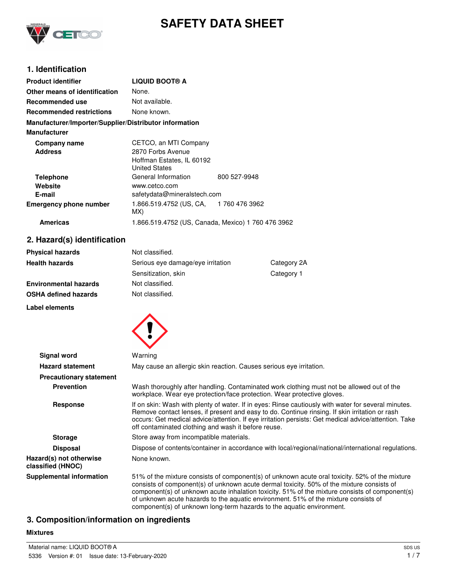

# **SAFETY DATA SHEET**

# **1. Identification**

| <b>Product identifier</b>                              | <b>LIQUID BOOT® A</b>                              |              |  |
|--------------------------------------------------------|----------------------------------------------------|--------------|--|
| Other means of identification                          | None.                                              |              |  |
| Recommended use                                        | Not available.                                     |              |  |
| <b>Recommended restrictions</b>                        | None known.                                        |              |  |
| Manufacturer/Importer/Supplier/Distributor information |                                                    |              |  |
| <b>Manufacturer</b>                                    |                                                    |              |  |
| Company name                                           | CETCO, an MTI Company                              |              |  |
| <b>Address</b>                                         | 2870 Forbs Avenue                                  |              |  |
|                                                        | Hoffman Estates, IL 60192                          |              |  |
|                                                        | <b>United States</b>                               |              |  |
| <b>Telephone</b>                                       | General Information                                | 800 527-9948 |  |
| Website                                                | www.cetco.com                                      |              |  |
| E-mail                                                 | safetydata@mineralstech.com                        |              |  |
| <b>Emergency phone number</b>                          | 1.866.519.4752 (US, CA, 1760 476 3962<br>MX)       |              |  |
| <b>Americas</b>                                        | 1.866.519.4752 (US, Canada, Mexico) 1 760 476 3962 |              |  |

### **2. Hazard(s) identification**

| Not classified.                   |             |
|-----------------------------------|-------------|
| Serious eye damage/eye irritation | Category 2A |
| Sensitization, skin               | Category 1  |
| Not classified.                   |             |
| Not classified.                   |             |
|                                   |             |

**Label elements**



| Signal word                                  | Warning                                                                                                                                                                                                                                                                                                                                                                                                                                                       |  |  |
|----------------------------------------------|---------------------------------------------------------------------------------------------------------------------------------------------------------------------------------------------------------------------------------------------------------------------------------------------------------------------------------------------------------------------------------------------------------------------------------------------------------------|--|--|
| <b>Hazard statement</b>                      | May cause an allergic skin reaction. Causes serious eye irritation.                                                                                                                                                                                                                                                                                                                                                                                           |  |  |
| <b>Precautionary statement</b>               |                                                                                                                                                                                                                                                                                                                                                                                                                                                               |  |  |
| <b>Prevention</b>                            | Wash thoroughly after handling. Contaminated work clothing must not be allowed out of the<br>workplace. Wear eye protection/face protection. Wear protective gloves.                                                                                                                                                                                                                                                                                          |  |  |
| <b>Response</b>                              | If on skin: Wash with plenty of water. If in eyes: Rinse cautiously with water for several minutes.<br>Remove contact lenses, if present and easy to do. Continue rinsing. If skin irritation or rash<br>occurs: Get medical advice/attention. If eye irritation persists: Get medical advice/attention. Take<br>off contaminated clothing and wash it before reuse.                                                                                          |  |  |
| <b>Storage</b>                               | Store away from incompatible materials.                                                                                                                                                                                                                                                                                                                                                                                                                       |  |  |
| <b>Disposal</b>                              | Dispose of contents/container in accordance with local/regional/national/international regulations.                                                                                                                                                                                                                                                                                                                                                           |  |  |
| Hazard(s) not otherwise<br>classified (HNOC) | None known.                                                                                                                                                                                                                                                                                                                                                                                                                                                   |  |  |
| Supplemental information                     | 51% of the mixture consists of component(s) of unknown acute oral toxicity. 52% of the mixture<br>consists of component(s) of unknown acute dermal toxicity. 50% of the mixture consists of<br>component(s) of unknown acute inhalation toxicity. 51% of the mixture consists of component(s)<br>of unknown acute hazards to the aquatic environment. 51% of the mixture consists of<br>component(s) of unknown long-term hazards to the aquatic environment. |  |  |

# **3. Composition/information on ingredients**

### **Mixtures**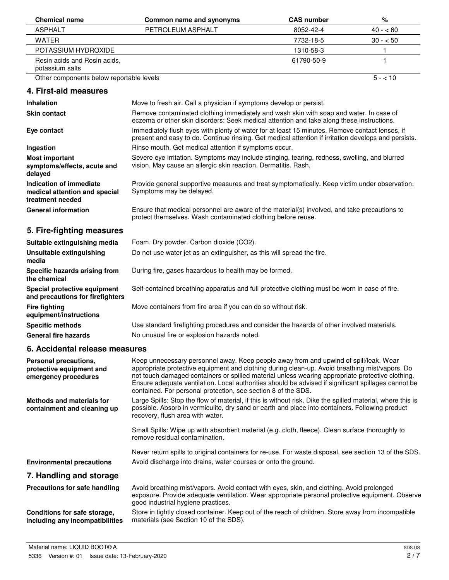| <b>Chemical name</b>                                                         | <b>Common name and synonyms</b>                                                                                                                                                                                                                                                                                                                                                                                                                                     | <b>CAS number</b> | $\%$      |
|------------------------------------------------------------------------------|---------------------------------------------------------------------------------------------------------------------------------------------------------------------------------------------------------------------------------------------------------------------------------------------------------------------------------------------------------------------------------------------------------------------------------------------------------------------|-------------------|-----------|
| <b>ASPHALT</b>                                                               | PETROLEUM ASPHALT                                                                                                                                                                                                                                                                                                                                                                                                                                                   | 8052-42-4         | $40 - 60$ |
| <b>WATER</b>                                                                 |                                                                                                                                                                                                                                                                                                                                                                                                                                                                     | 7732-18-5         | $30 - 50$ |
| POTASSIUM HYDROXIDE                                                          |                                                                                                                                                                                                                                                                                                                                                                                                                                                                     | 1310-58-3         | 1         |
| Resin acids and Rosin acids,<br>potassium salts                              |                                                                                                                                                                                                                                                                                                                                                                                                                                                                     | 61790-50-9        | 1         |
| Other components below reportable levels                                     |                                                                                                                                                                                                                                                                                                                                                                                                                                                                     |                   | $5 - 10$  |
| 4. First-aid measures                                                        |                                                                                                                                                                                                                                                                                                                                                                                                                                                                     |                   |           |
| <b>Inhalation</b>                                                            | Move to fresh air. Call a physician if symptoms develop or persist.                                                                                                                                                                                                                                                                                                                                                                                                 |                   |           |
| <b>Skin contact</b>                                                          | Remove contaminated clothing immediately and wash skin with soap and water. In case of<br>eczema or other skin disorders: Seek medical attention and take along these instructions.                                                                                                                                                                                                                                                                                 |                   |           |
| Eye contact                                                                  | Immediately flush eyes with plenty of water for at least 15 minutes. Remove contact lenses, if<br>present and easy to do. Continue rinsing. Get medical attention if irritation develops and persists.                                                                                                                                                                                                                                                              |                   |           |
| Ingestion                                                                    | Rinse mouth. Get medical attention if symptoms occur.                                                                                                                                                                                                                                                                                                                                                                                                               |                   |           |
| <b>Most important</b><br>symptoms/effects, acute and<br>delayed              | Severe eye irritation. Symptoms may include stinging, tearing, redness, swelling, and blurred<br>vision. May cause an allergic skin reaction. Dermatitis. Rash.                                                                                                                                                                                                                                                                                                     |                   |           |
| Indication of immediate<br>medical attention and special<br>treatment needed | Provide general supportive measures and treat symptomatically. Keep victim under observation.<br>Symptoms may be delayed.                                                                                                                                                                                                                                                                                                                                           |                   |           |
| <b>General information</b>                                                   | Ensure that medical personnel are aware of the material(s) involved, and take precautions to<br>protect themselves. Wash contaminated clothing before reuse.                                                                                                                                                                                                                                                                                                        |                   |           |
| 5. Fire-fighting measures                                                    |                                                                                                                                                                                                                                                                                                                                                                                                                                                                     |                   |           |
| Suitable extinguishing media                                                 | Foam. Dry powder. Carbon dioxide (CO2).                                                                                                                                                                                                                                                                                                                                                                                                                             |                   |           |
| Unsuitable extinguishing<br>media                                            | Do not use water jet as an extinguisher, as this will spread the fire.                                                                                                                                                                                                                                                                                                                                                                                              |                   |           |
| Specific hazards arising from<br>the chemical                                | During fire, gases hazardous to health may be formed.                                                                                                                                                                                                                                                                                                                                                                                                               |                   |           |
| Special protective equipment<br>and precautions for firefighters             | Self-contained breathing apparatus and full protective clothing must be worn in case of fire.                                                                                                                                                                                                                                                                                                                                                                       |                   |           |
| <b>Fire fighting</b><br>equipment/instructions                               | Move containers from fire area if you can do so without risk.                                                                                                                                                                                                                                                                                                                                                                                                       |                   |           |
| <b>Specific methods</b>                                                      | Use standard firefighting procedures and consider the hazards of other involved materials.                                                                                                                                                                                                                                                                                                                                                                          |                   |           |
| <b>General fire hazards</b>                                                  | No unusual fire or explosion hazards noted.                                                                                                                                                                                                                                                                                                                                                                                                                         |                   |           |
| 6. Accidental release measures                                               |                                                                                                                                                                                                                                                                                                                                                                                                                                                                     |                   |           |
| Personal precautions,<br>protective equipment and<br>emergency procedures    | Keep unnecessary personnel away. Keep people away from and upwind of spill/leak. Wear<br>appropriate protective equipment and clothing during clean-up. Avoid breathing mist/vapors. Do<br>not touch damaged containers or spilled material unless wearing appropriate protective clothing.<br>Ensure adequate ventilation. Local authorities should be advised if significant spillages cannot be<br>contained. For personal protection, see section 8 of the SDS. |                   |           |
| <b>Methods and materials for</b><br>containment and cleaning up              | Large Spills: Stop the flow of material, if this is without risk. Dike the spilled material, where this is<br>possible. Absorb in vermiculite, dry sand or earth and place into containers. Following product<br>recovery, flush area with water.                                                                                                                                                                                                                   |                   |           |
|                                                                              | Small Spills: Wipe up with absorbent material (e.g. cloth, fleece). Clean surface thoroughly to<br>remove residual contamination.                                                                                                                                                                                                                                                                                                                                   |                   |           |
|                                                                              | Never return spills to original containers for re-use. For waste disposal, see section 13 of the SDS.                                                                                                                                                                                                                                                                                                                                                               |                   |           |
| <b>Environmental precautions</b>                                             | Avoid discharge into drains, water courses or onto the ground.                                                                                                                                                                                                                                                                                                                                                                                                      |                   |           |
| 7. Handling and storage                                                      |                                                                                                                                                                                                                                                                                                                                                                                                                                                                     |                   |           |
| Precautions for safe handling                                                | Avoid breathing mist/vapors. Avoid contact with eyes, skin, and clothing. Avoid prolonged<br>exposure. Provide adequate ventilation. Wear appropriate personal protective equipment. Observe<br>good industrial hygiene practices.                                                                                                                                                                                                                                  |                   |           |
| Conditions for safe storage,<br>including any incompatibilities              | Store in tightly closed container. Keep out of the reach of children. Store away from incompatible<br>materials (see Section 10 of the SDS).                                                                                                                                                                                                                                                                                                                        |                   |           |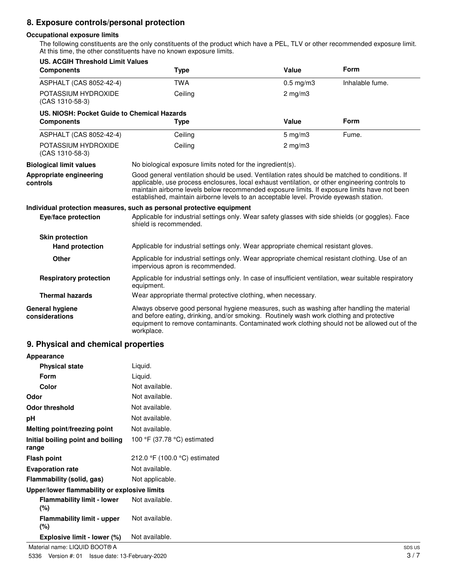# **8. Exposure controls/personal protection**

#### **Occupational exposure limits**

The following constituents are the only constituents of the product which have a PEL, TLV or other recommended exposure limit. At this time, the other constituents have no known exposure limits.

| <b>US. ACGIH Threshold Limit Values</b><br><b>Components</b>     | <b>Type</b>                                                                                                                                                                                                                                                                                                                                                                                 | Value              | Form            |
|------------------------------------------------------------------|---------------------------------------------------------------------------------------------------------------------------------------------------------------------------------------------------------------------------------------------------------------------------------------------------------------------------------------------------------------------------------------------|--------------------|-----------------|
| ASPHALT (CAS 8052-42-4)                                          | <b>TWA</b>                                                                                                                                                                                                                                                                                                                                                                                  | $0.5$ mg/m $3$     | Inhalable fume. |
| POTASSIUM HYDROXIDE<br>(CAS 1310-58-3)                           | Ceiling                                                                                                                                                                                                                                                                                                                                                                                     | $2 \text{ mg/m}$   |                 |
| US. NIOSH: Pocket Guide to Chemical Hazards<br><b>Components</b> | <b>Type</b>                                                                                                                                                                                                                                                                                                                                                                                 | Value              | Form            |
| ASPHALT (CAS 8052-42-4)                                          | Ceiling                                                                                                                                                                                                                                                                                                                                                                                     | $5 \text{ mg/m}$ 3 | Fume.           |
| POTASSIUM HYDROXIDE<br>(CAS 1310-58-3)                           | Ceiling                                                                                                                                                                                                                                                                                                                                                                                     | $2$ mg/m $3$       |                 |
| <b>Biological limit values</b>                                   | No biological exposure limits noted for the ingredient(s).                                                                                                                                                                                                                                                                                                                                  |                    |                 |
| Appropriate engineering<br>controls                              | Good general ventilation should be used. Ventilation rates should be matched to conditions. If<br>applicable, use process enclosures, local exhaust ventilation, or other engineering controls to<br>maintain airborne levels below recommended exposure limits. If exposure limits have not been<br>established, maintain airborne levels to an acceptable level. Provide eyewash station. |                    |                 |
|                                                                  | Individual protection measures, such as personal protective equipment                                                                                                                                                                                                                                                                                                                       |                    |                 |
| Eye/face protection                                              | Applicable for industrial settings only. Wear safety glasses with side shields (or goggles). Face<br>shield is recommended.                                                                                                                                                                                                                                                                 |                    |                 |
| <b>Skin protection</b>                                           |                                                                                                                                                                                                                                                                                                                                                                                             |                    |                 |
| <b>Hand protection</b>                                           | Applicable for industrial settings only. Wear appropriate chemical resistant gloves.                                                                                                                                                                                                                                                                                                        |                    |                 |
| Other                                                            | Applicable for industrial settings only. Wear appropriate chemical resistant clothing. Use of an<br>impervious apron is recommended.                                                                                                                                                                                                                                                        |                    |                 |
| <b>Respiratory protection</b>                                    | Applicable for industrial settings only. In case of insufficient ventilation, wear suitable respiratory<br>equipment.                                                                                                                                                                                                                                                                       |                    |                 |
| <b>Thermal hazards</b>                                           | Wear appropriate thermal protective clothing, when necessary.                                                                                                                                                                                                                                                                                                                               |                    |                 |
| <b>General hygiene</b><br>considerations                         | Always observe good personal hygiene measures, such as washing after handling the material<br>and before eating, drinking, and/or smoking. Routinely wash work clothing and protective<br>equipment to remove contaminants. Contaminated work clothing should not be allowed out of the<br>workplace.                                                                                       |                    |                 |

## **9. Physical and chemical properties**

| Appearance                                   |                               |
|----------------------------------------------|-------------------------------|
| <b>Physical state</b>                        | Liquid.                       |
| Form                                         | Liquid.                       |
| Color                                        | Not available.                |
| Odor                                         | Not available.                |
| Odor threshold                               | Not available.                |
| рH                                           | Not available.                |
| Melting point/freezing point                 | Not available.                |
| Initial boiling point and boiling<br>range   | 100 °F (37.78 °C) estimated   |
| <b>Flash point</b>                           | 212.0 °F (100.0 °C) estimated |
| <b>Evaporation rate</b>                      | Not available.                |
| Flammability (solid, gas)                    | Not applicable.               |
| Upper/lower flammability or explosive limits |                               |
| <b>Flammability limit - lower</b><br>(%)     | Not available.                |
| <b>Flammability limit - upper</b><br>(%)     | Not available.                |
| Explosive limit - lower (%)                  | Not available.                |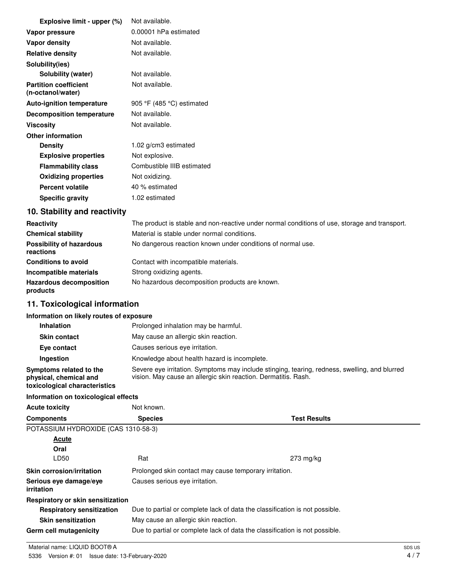| Explosive limit - upper (%)                       | Not available.             |
|---------------------------------------------------|----------------------------|
| Vapor pressure                                    | 0.00001 hPa estimated      |
| Vapor density                                     | Not available.             |
| <b>Relative density</b>                           | Not available.             |
| Solubility(ies)                                   |                            |
| Solubility (water)                                | Not available.             |
| <b>Partition coefficient</b><br>(n-octanol/water) | Not available.             |
| <b>Auto-ignition temperature</b>                  | 905 °F (485 °C) estimated  |
| <b>Decomposition temperature</b>                  | Not available.             |
| Viscosity                                         | Not available.             |
| <b>Other information</b>                          |                            |
| <b>Density</b>                                    | 1.02 g/cm3 estimated       |
| <b>Explosive properties</b>                       | Not explosive.             |
| <b>Flammability class</b>                         | Combustible IIIB estimated |
| <b>Oxidizing properties</b>                       | Not oxidizing.             |
| <b>Percent volatile</b>                           | 40 % estimated             |
| <b>Specific gravity</b>                           | 1.02 estimated             |

# **10. Stability and reactivity**

| Reactivity                                   | The product is stable and non-reactive under normal conditions of use, storage and transport. |
|----------------------------------------------|-----------------------------------------------------------------------------------------------|
| <b>Chemical stability</b>                    | Material is stable under normal conditions.                                                   |
| <b>Possibility of hazardous</b><br>reactions | No dangerous reaction known under conditions of normal use.                                   |
| <b>Conditions to avoid</b>                   | Contact with incompatible materials.                                                          |
| Incompatible materials                       | Strong oxidizing agents.                                                                      |
| <b>Hazardous decomposition</b><br>products   | No hazardous decomposition products are known.                                                |

# **11. Toxicological information**

### **Information on likely routes of exposure**

| <b>Inhalation</b>                                                                  | Prolonged inhalation may be harmful.                                                                                                                            |
|------------------------------------------------------------------------------------|-----------------------------------------------------------------------------------------------------------------------------------------------------------------|
| <b>Skin contact</b>                                                                | May cause an allergic skin reaction.                                                                                                                            |
| Eye contact                                                                        | Causes serious eye irritation.                                                                                                                                  |
| <b>Ingestion</b>                                                                   | Knowledge about health hazard is incomplete.                                                                                                                    |
| Symptoms related to the<br>physical, chemical and<br>toxicological characteristics | Severe eye irritation. Symptoms may include stinging, tearing, redness, swelling, and blurred<br>vision. May cause an allergic skin reaction. Dermatitis. Rash. |

## **Information on toxicological effects**

| <b>Acute toxicity</b>                | Not known.                                                                  |                                                                             |  |
|--------------------------------------|-----------------------------------------------------------------------------|-----------------------------------------------------------------------------|--|
| <b>Components</b>                    | <b>Species</b>                                                              | <b>Test Results</b>                                                         |  |
| POTASSIUM HYDROXIDE (CAS 1310-58-3)  |                                                                             |                                                                             |  |
| Acute                                |                                                                             |                                                                             |  |
| Oral                                 |                                                                             |                                                                             |  |
| LD50                                 | Rat                                                                         | $273 \text{ mg/kg}$                                                         |  |
| <b>Skin corrosion/irritation</b>     | Prolonged skin contact may cause temporary irritation.                      |                                                                             |  |
| Serious eve damage/eve<br>irritation | Causes serious eye irritation.                                              |                                                                             |  |
| Respiratory or skin sensitization    |                                                                             |                                                                             |  |
| <b>Respiratory sensitization</b>     | Due to partial or complete lack of data the classification is not possible. |                                                                             |  |
| <b>Skin sensitization</b>            | May cause an allergic skin reaction.                                        |                                                                             |  |
| Germ cell mutagenicity               |                                                                             | Due to partial or complete lack of data the classification is not possible. |  |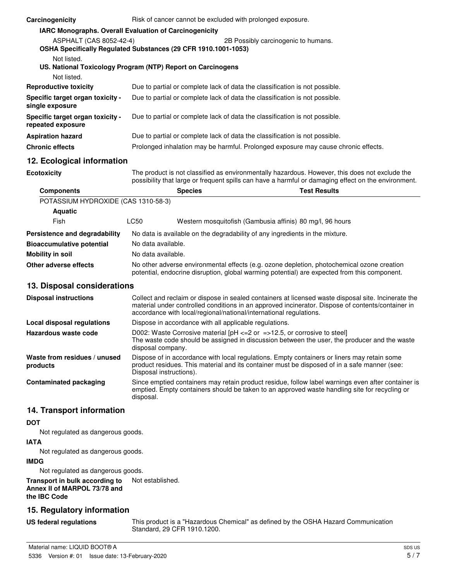| Carcinogenicity                                                                           |                                                                                                                                                                                                                  | Risk of cancer cannot be excluded with prolonged exposure.                   |                                                                                                                                                                                                          |
|-------------------------------------------------------------------------------------------|------------------------------------------------------------------------------------------------------------------------------------------------------------------------------------------------------------------|------------------------------------------------------------------------------|----------------------------------------------------------------------------------------------------------------------------------------------------------------------------------------------------------|
| IARC Monographs. Overall Evaluation of Carcinogenicity                                    |                                                                                                                                                                                                                  |                                                                              |                                                                                                                                                                                                          |
| ASPHALT (CAS 8052-42-4)<br>OSHA Specifically Regulated Substances (29 CFR 1910.1001-1053) |                                                                                                                                                                                                                  |                                                                              | 2B Possibly carcinogenic to humans.                                                                                                                                                                      |
| Not listed.<br>US. National Toxicology Program (NTP) Report on Carcinogens                |                                                                                                                                                                                                                  |                                                                              |                                                                                                                                                                                                          |
| Not listed.                                                                               |                                                                                                                                                                                                                  |                                                                              |                                                                                                                                                                                                          |
| <b>Reproductive toxicity</b>                                                              |                                                                                                                                                                                                                  | Due to partial or complete lack of data the classification is not possible.  |                                                                                                                                                                                                          |
| Specific target organ toxicity -<br>single exposure                                       |                                                                                                                                                                                                                  | Due to partial or complete lack of data the classification is not possible.  |                                                                                                                                                                                                          |
| Specific target organ toxicity -<br>repeated exposure                                     |                                                                                                                                                                                                                  | Due to partial or complete lack of data the classification is not possible.  |                                                                                                                                                                                                          |
| <b>Aspiration hazard</b>                                                                  |                                                                                                                                                                                                                  | Due to partial or complete lack of data the classification is not possible.  |                                                                                                                                                                                                          |
| <b>Chronic effects</b>                                                                    |                                                                                                                                                                                                                  |                                                                              | Prolonged inhalation may be harmful. Prolonged exposure may cause chronic effects.                                                                                                                       |
| 12. Ecological information                                                                |                                                                                                                                                                                                                  |                                                                              |                                                                                                                                                                                                          |
| <b>Ecotoxicity</b>                                                                        |                                                                                                                                                                                                                  |                                                                              | The product is not classified as environmentally hazardous. However, this does not exclude the<br>possibility that large or frequent spills can have a harmful or damaging effect on the environment.    |
| <b>Components</b>                                                                         |                                                                                                                                                                                                                  | <b>Species</b>                                                               | <b>Test Results</b>                                                                                                                                                                                      |
| POTASSIUM HYDROXIDE (CAS 1310-58-3)                                                       |                                                                                                                                                                                                                  |                                                                              |                                                                                                                                                                                                          |
| <b>Aquatic</b>                                                                            |                                                                                                                                                                                                                  |                                                                              |                                                                                                                                                                                                          |
| Fish                                                                                      | LC50                                                                                                                                                                                                             | Western mosquitofish (Gambusia affinis) 80 mg/l, 96 hours                    |                                                                                                                                                                                                          |
| Persistence and degradability                                                             |                                                                                                                                                                                                                  | No data is available on the degradability of any ingredients in the mixture. |                                                                                                                                                                                                          |
| <b>Bioaccumulative potential</b>                                                          | No data available.                                                                                                                                                                                               |                                                                              |                                                                                                                                                                                                          |
| <b>Mobility in soil</b>                                                                   | No data available.                                                                                                                                                                                               |                                                                              |                                                                                                                                                                                                          |
| Other adverse effects                                                                     |                                                                                                                                                                                                                  |                                                                              | No other adverse environmental effects (e.g. ozone depletion, photochemical ozone creation<br>potential, endocrine disruption, global warming potential) are expected from this component.               |
| 13. Disposal considerations                                                               |                                                                                                                                                                                                                  |                                                                              |                                                                                                                                                                                                          |
| <b>Disposal instructions</b>                                                              |                                                                                                                                                                                                                  | accordance with local/regional/national/international regulations.           | Collect and reclaim or dispose in sealed containers at licensed waste disposal site. Incinerate the<br>material under controlled conditions in an approved incinerator. Dispose of contents/container in |
| <b>Local disposal regulations</b>                                                         | Dispose in accordance with all applicable regulations.                                                                                                                                                           |                                                                              |                                                                                                                                                                                                          |
| Hazardous waste code                                                                      | disposal company.                                                                                                                                                                                                | D002: Waste Corrosive material [pH <= 2 or = > 12.5, or corrosive to steel]  | The waste code should be assigned in discussion between the user, the producer and the waste                                                                                                             |
| Waste from residues / unused<br>products                                                  | Disposal instructions).                                                                                                                                                                                          |                                                                              | Dispose of in accordance with local regulations. Empty containers or liners may retain some<br>product residues. This material and its container must be disposed of in a safe manner (see:              |
| <b>Contaminated packaging</b>                                                             | Since emptied containers may retain product residue, follow label warnings even after container is<br>emptied. Empty containers should be taken to an approved waste handling site for recycling or<br>disposal. |                                                                              |                                                                                                                                                                                                          |
| 14. Transport information                                                                 |                                                                                                                                                                                                                  |                                                                              |                                                                                                                                                                                                          |
| <b>DOT</b><br>Not regulated as dangerous goods.                                           |                                                                                                                                                                                                                  |                                                                              |                                                                                                                                                                                                          |
| <b>IATA</b>                                                                               |                                                                                                                                                                                                                  |                                                                              |                                                                                                                                                                                                          |

Not regulated as dangerous goods.

### **IMDG**

Not regulated as dangerous goods.

## **Transport in bulk according to** Not established. **Annex II of MARPOL 73/78 and**

**the IBC Code**

# **15. Regulatory information**

### **US federal regulations**

This product is a "Hazardous Chemical" as defined by the OSHA Hazard Communication Standard, 29 CFR 1910.1200.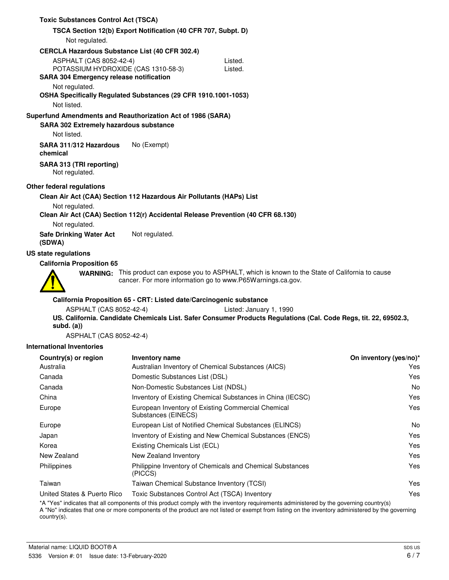| <b>Toxic Substances Control Act (TSCA)</b>                                                                              |                                                                     |                                                                                                                                                                   |                        |
|-------------------------------------------------------------------------------------------------------------------------|---------------------------------------------------------------------|-------------------------------------------------------------------------------------------------------------------------------------------------------------------|------------------------|
|                                                                                                                         | TSCA Section 12(b) Export Notification (40 CFR 707, Subpt. D)       |                                                                                                                                                                   |                        |
| Not regulated.                                                                                                          |                                                                     |                                                                                                                                                                   |                        |
| <b>CERCLA Hazardous Substance List (40 CFR 302.4)</b>                                                                   |                                                                     |                                                                                                                                                                   |                        |
| <b>ASPHALT (CAS 8052-42-4)</b><br>POTASSIUM HYDROXIDE (CAS 1310-58-3)<br><b>SARA 304 Emergency release notification</b> |                                                                     | Listed.<br>Listed.                                                                                                                                                |                        |
| Not regulated.<br>OSHA Specifically Regulated Substances (29 CFR 1910.1001-1053)                                        |                                                                     |                                                                                                                                                                   |                        |
| Not listed.                                                                                                             |                                                                     |                                                                                                                                                                   |                        |
| Superfund Amendments and Reauthorization Act of 1986 (SARA)<br><b>SARA 302 Extremely hazardous substance</b>            |                                                                     |                                                                                                                                                                   |                        |
| Not listed.                                                                                                             |                                                                     |                                                                                                                                                                   |                        |
| SARA 311/312 Hazardous<br>chemical                                                                                      | No (Exempt)                                                         |                                                                                                                                                                   |                        |
| SARA 313 (TRI reporting)<br>Not regulated.                                                                              |                                                                     |                                                                                                                                                                   |                        |
| Other federal regulations                                                                                               |                                                                     |                                                                                                                                                                   |                        |
| Clean Air Act (CAA) Section 112 Hazardous Air Pollutants (HAPs) List                                                    |                                                                     |                                                                                                                                                                   |                        |
| Not regulated.                                                                                                          |                                                                     | Clean Air Act (CAA) Section 112(r) Accidental Release Prevention (40 CFR 68.130)                                                                                  |                        |
| Not regulated.                                                                                                          |                                                                     |                                                                                                                                                                   |                        |
| <b>Safe Drinking Water Act</b><br>(SDWA)                                                                                | Not regulated.                                                      |                                                                                                                                                                   |                        |
| US state regulations                                                                                                    |                                                                     |                                                                                                                                                                   |                        |
| <b>California Proposition 65</b>                                                                                        |                                                                     |                                                                                                                                                                   |                        |
|                                                                                                                         |                                                                     | WARNING: This product can expose you to ASPHALT, which is known to the State of California to cause<br>cancer. For more information go to www.P65Warnings.ca.gov. |                        |
|                                                                                                                         | California Proposition 65 - CRT: Listed date/Carcinogenic substance |                                                                                                                                                                   |                        |
| ASPHALT (CAS 8052-42-4)<br>$subd.$ $(a))$                                                                               |                                                                     | Listed: January 1, 1990<br>US. California. Candidate Chemicals List. Safer Consumer Products Regulations (Cal. Code Regs, tit. 22, 69502.3,                       |                        |
| ASPHALT (CAS 8052-42-4)                                                                                                 |                                                                     |                                                                                                                                                                   |                        |
| <b>International Inventories</b>                                                                                        |                                                                     |                                                                                                                                                                   |                        |
| Country(s) or region                                                                                                    | <b>Inventory name</b>                                               |                                                                                                                                                                   | On inventory (yes/no)* |
| Australia                                                                                                               |                                                                     | Australian Inventory of Chemical Substances (AICS)                                                                                                                | Yes                    |
| Canada                                                                                                                  | Domestic Substances List (DSL)                                      |                                                                                                                                                                   | Yes                    |
| Canada                                                                                                                  | Non-Domestic Substances List (NDSL)                                 |                                                                                                                                                                   | No                     |
| China                                                                                                                   |                                                                     | Inventory of Existing Chemical Substances in China (IECSC)                                                                                                        | Yes                    |
| Europe                                                                                                                  | Substances (EINECS)                                                 | European Inventory of Existing Commercial Chemical                                                                                                                | Yes                    |
| Europe                                                                                                                  |                                                                     | European List of Notified Chemical Substances (ELINCS)                                                                                                            | No                     |
| Japan                                                                                                                   |                                                                     | Inventory of Existing and New Chemical Substances (ENCS)                                                                                                          | Yes                    |
| Korea                                                                                                                   | Existing Chemicals List (ECL)                                       |                                                                                                                                                                   | Yes                    |
| New Zealand                                                                                                             | New Zealand Inventory                                               |                                                                                                                                                                   | Yes                    |
| Philippines                                                                                                             | (PICCS)                                                             | Philippine Inventory of Chemicals and Chemical Substances                                                                                                         | Yes                    |
| Taiwan                                                                                                                  | Taiwan Chemical Substance Inventory (TCSI)                          |                                                                                                                                                                   | Yes                    |
| United States & Puerto Rico                                                                                             | Toxic Substances Control Act (TSCA) Inventory                       |                                                                                                                                                                   | Yes                    |

\*A "Yes" indicates that all components of this product comply with the inventory requirements administered by the governing country(s)

A "No" indicates that one or more components of the product are not listed or exempt from listing on the inventory administered by the governing country(s).